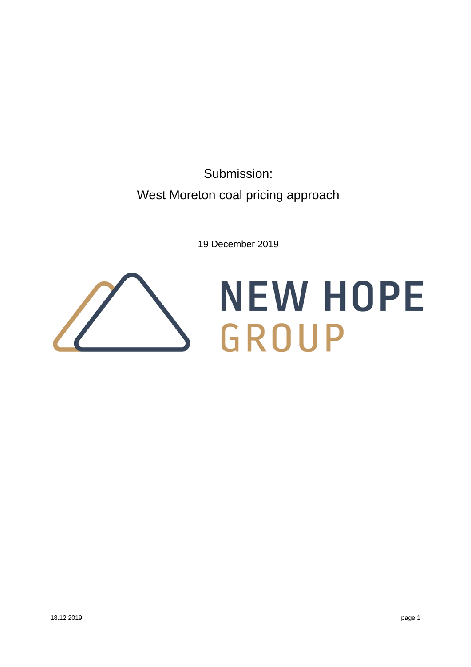Submission: West Moreton coal pricing approach

19 December 2019

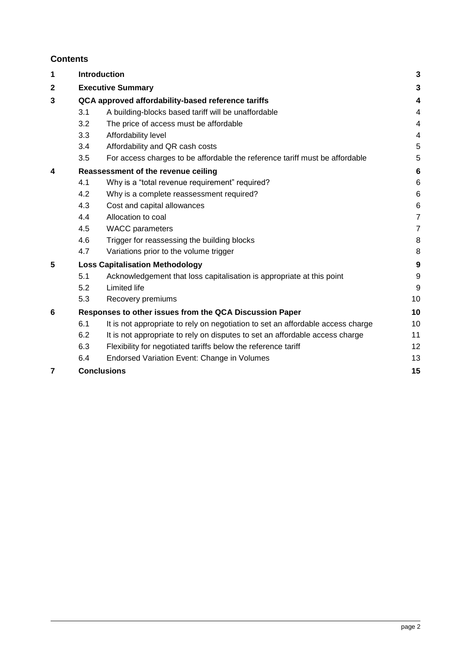# **Contents**

| 1              |                                                         | <b>Introduction</b>                                                             |                 |  |
|----------------|---------------------------------------------------------|---------------------------------------------------------------------------------|-----------------|--|
| $\mathbf 2$    |                                                         | <b>Executive Summary</b>                                                        |                 |  |
| 3              | QCA approved affordability-based reference tariffs      |                                                                                 |                 |  |
|                | 3.1                                                     | A building-blocks based tariff will be unaffordable                             | 4               |  |
|                | 3.2                                                     | The price of access must be affordable                                          | 4               |  |
|                | 3.3                                                     | Affordability level                                                             | 4               |  |
|                | 3.4                                                     | Affordability and QR cash costs                                                 | 5               |  |
|                | 3.5                                                     | For access charges to be affordable the reference tariff must be affordable     | 5               |  |
| 4              | Reassessment of the revenue ceiling                     |                                                                                 | 6               |  |
|                | 4.1                                                     | Why is a "total revenue requirement" required?                                  | $6\phantom{1}6$ |  |
|                | 4.2                                                     | Why is a complete reassessment required?                                        | $6\phantom{1}6$ |  |
|                | 4.3                                                     | Cost and capital allowances                                                     | $6\phantom{1}6$ |  |
|                | 4.4                                                     | Allocation to coal                                                              | $\overline{7}$  |  |
|                | 4.5                                                     | <b>WACC</b> parameters                                                          | $\overline{7}$  |  |
|                | 4.6                                                     | Trigger for reassessing the building blocks                                     | 8               |  |
|                | 4.7                                                     | Variations prior to the volume trigger                                          | 8               |  |
| 5              | <b>Loss Capitalisation Methodology</b>                  |                                                                                 |                 |  |
|                | 5.1                                                     | Acknowledgement that loss capitalisation is appropriate at this point           | 9               |  |
|                | 5.2                                                     | Limited life                                                                    | 9               |  |
|                | 5.3                                                     | Recovery premiums                                                               | 10              |  |
| 6              | Responses to other issues from the QCA Discussion Paper |                                                                                 |                 |  |
|                | 6.1                                                     | It is not appropriate to rely on negotiation to set an affordable access charge | 10              |  |
|                | 6.2                                                     | It is not appropriate to rely on disputes to set an affordable access charge    | 11              |  |
|                | 6.3                                                     | Flexibility for negotiated tariffs below the reference tariff                   | 12              |  |
|                | 6.4                                                     | Endorsed Variation Event: Change in Volumes                                     | 13              |  |
| $\overline{7}$ |                                                         | <b>Conclusions</b>                                                              |                 |  |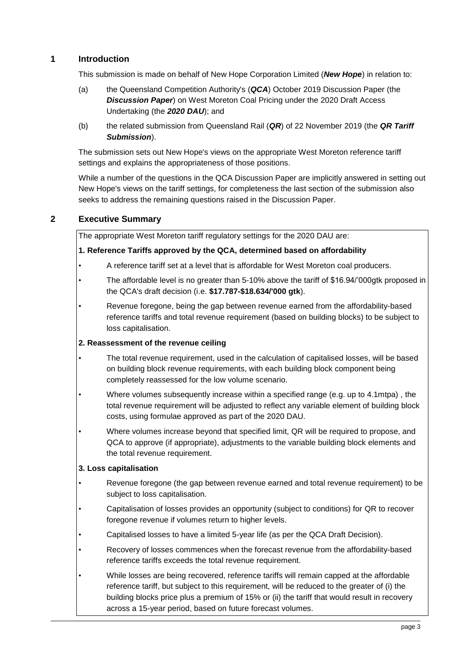# <span id="page-2-0"></span>**1 Introduction**

This submission is made on behalf of New Hope Corporation Limited (*New Hope*) in relation to:

- (a) the Queensland Competition Authority's (*QCA*) October 2019 Discussion Paper (the *Discussion Paper*) on West Moreton Coal Pricing under the 2020 Draft Access Undertaking (the *2020 DAU*); and
- (b) the related submission from Queensland Rail (*QR*) of 22 November 2019 (the *QR Tariff Submission*).

The submission sets out New Hope's views on the appropriate West Moreton reference tariff settings and explains the appropriateness of those positions.

While a number of the questions in the QCA Discussion Paper are implicitly answered in setting out New Hope's views on the tariff settings, for completeness the last section of the submission also seeks to address the remaining questions raised in the Discussion Paper.

## <span id="page-2-1"></span>**2 Executive Summary**

The appropriate West Moreton tariff regulatory settings for the 2020 DAU are:

#### **1. Reference Tariffs approved by the QCA, determined based on affordability**

- A reference tariff set at a level that is affordable for West Moreton coal producers.
- The affordable level is no greater than 5-10% above the tariff of \$16.94/'000gtk proposed in the QCA's draft decision (i.e. **\$17.787-\$18.634/'000 gtk**).
- Revenue foregone, being the gap between revenue earned from the affordability-based reference tariffs and total revenue requirement (based on building blocks) to be subject to loss capitalisation.

#### **2. Reassessment of the revenue ceiling**

- The total revenue requirement, used in the calculation of capitalised losses, will be based on building block revenue requirements, with each building block component being completely reassessed for the low volume scenario.
- Where volumes subsequently increase within a specified range (e.g. up to 4.1mtpa) , the total revenue requirement will be adjusted to reflect any variable element of building block costs, using formulae approved as part of the 2020 DAU.
- Where volumes increase beyond that specified limit, QR will be required to propose, and QCA to approve (if appropriate), adjustments to the variable building block elements and the total revenue requirement.

#### **3. Loss capitalisation**

- Revenue foregone (the gap between revenue earned and total revenue requirement) to be subject to loss capitalisation.
- Capitalisation of losses provides an opportunity (subject to conditions) for QR to recover foregone revenue if volumes return to higher levels.
- Capitalised losses to have a limited 5-year life (as per the QCA Draft Decision).
- Recovery of losses commences when the forecast revenue from the affordability-based reference tariffs exceeds the total revenue requirement.
- While losses are being recovered, reference tariffs will remain capped at the affordable reference tariff, but subject to this requirement, will be reduced to the greater of (i) the building blocks price plus a premium of 15% or (ii) the tariff that would result in recovery across a 15-year period, based on future forecast volumes.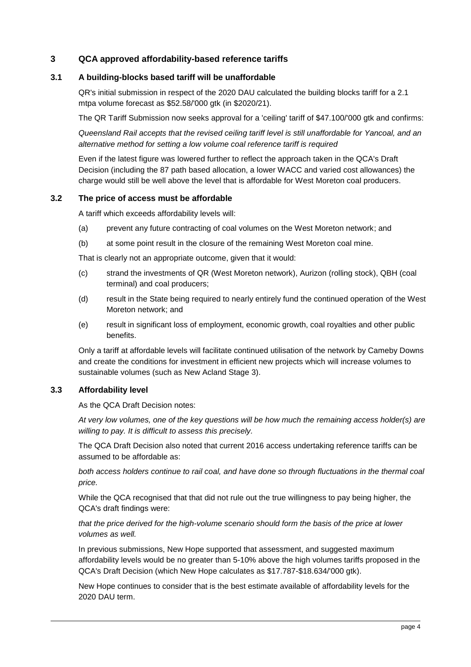## <span id="page-3-0"></span>**3 QCA approved affordability-based reference tariffs**

### <span id="page-3-1"></span>**3.1 A building-blocks based tariff will be unaffordable**

QR's initial submission in respect of the 2020 DAU calculated the building blocks tariff for a 2.1 mtpa volume forecast as \$52.58/'000 gtk (in \$2020/21).

The QR Tariff Submission now seeks approval for a 'ceiling' tariff of \$47.100/'000 gtk and confirms:

*Queensland Rail accepts that the revised ceiling tariff level is still unaffordable for Yancoal, and an alternative method for setting a low volume coal reference tariff is required*

Even if the latest figure was lowered further to reflect the approach taken in the QCA's Draft Decision (including the 87 path based allocation, a lower WACC and varied cost allowances) the charge would still be well above the level that is affordable for West Moreton coal producers.

### <span id="page-3-2"></span>**3.2 The price of access must be affordable**

A tariff which exceeds affordability levels will:

- (a) prevent any future contracting of coal volumes on the West Moreton network; and
- (b) at some point result in the closure of the remaining West Moreton coal mine.

That is clearly not an appropriate outcome, given that it would:

- (c) strand the investments of QR (West Moreton network), Aurizon (rolling stock), QBH (coal terminal) and coal producers;
- (d) result in the State being required to nearly entirely fund the continued operation of the West Moreton network; and
- (e) result in significant loss of employment, economic growth, coal royalties and other public benefits.

Only a tariff at affordable levels will facilitate continued utilisation of the network by Cameby Downs and create the conditions for investment in efficient new projects which will increase volumes to sustainable volumes (such as New Acland Stage 3).

#### <span id="page-3-3"></span>**3.3 Affordability level**

As the QCA Draft Decision notes:

*At very low volumes, one of the key questions will be how much the remaining access holder(s) are willing to pay. It is difficult to assess this precisely.*

The QCA Draft Decision also noted that current 2016 access undertaking reference tariffs can be assumed to be affordable as:

*both access holders continue to rail coal, and have done so through fluctuations in the thermal coal price.*

While the QCA recognised that that did not rule out the true willingness to pay being higher, the QCA's draft findings were:

### *that the price derived for the high-volume scenario should form the basis of the price at lower volumes as well.*

In previous submissions, New Hope supported that assessment, and suggested maximum affordability levels would be no greater than 5-10% above the high volumes tariffs proposed in the QCA's Draft Decision (which New Hope calculates as \$17.787-\$18.634/'000 gtk).

New Hope continues to consider that is the best estimate available of affordability levels for the 2020 DAU term.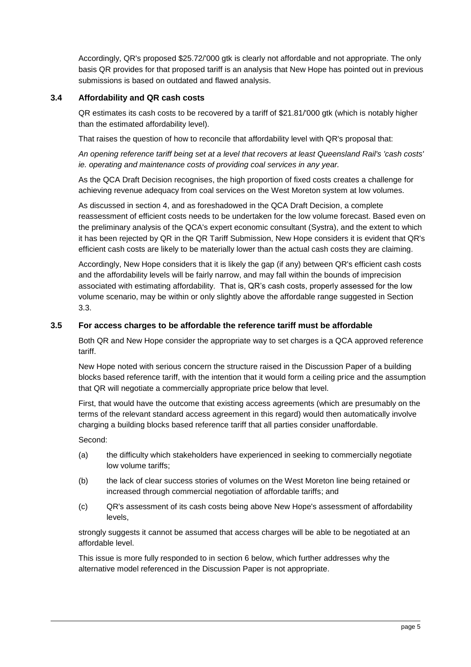Accordingly, QR's proposed \$25.72/'000 gtk is clearly not affordable and not appropriate. The only basis QR provides for that proposed tariff is an analysis that New Hope has pointed out in previous submissions is based on outdated and flawed analysis.

### <span id="page-4-0"></span>**3.4 Affordability and QR cash costs**

QR estimates its cash costs to be recovered by a tariff of \$21.81/'000 gtk (which is notably higher than the estimated affordability level).

That raises the question of how to reconcile that affordability level with QR's proposal that:

*An opening reference tariff being set at a level that recovers at least Queensland Rail's 'cash costs' ie. operating and maintenance costs of providing coal services in any year.*

As the QCA Draft Decision recognises, the high proportion of fixed costs creates a challenge for achieving revenue adequacy from coal services on the West Moreton system at low volumes.

As discussed in section [4,](#page-5-0) and as foreshadowed in the QCA Draft Decision, a complete reassessment of efficient costs needs to be undertaken for the low volume forecast. Based even on the preliminary analysis of the QCA's expert economic consultant (Systra), and the extent to which it has been rejected by QR in the QR Tariff Submission, New Hope considers it is evident that QR's efficient cash costs are likely to be materially lower than the actual cash costs they are claiming.

Accordingly, New Hope considers that it is likely the gap (if any) between QR's efficient cash costs and the affordability levels will be fairly narrow, and may fall within the bounds of imprecision associated with estimating affordability. That is, QR's cash costs, properly assessed for the low volume scenario, may be within or only slightly above the affordable range suggested in Section 3.3.

### <span id="page-4-1"></span>**3.5 For access charges to be affordable the reference tariff must be affordable**

Both QR and New Hope consider the appropriate way to set charges is a QCA approved reference tariff.

New Hope noted with serious concern the structure raised in the Discussion Paper of a building blocks based reference tariff, with the intention that it would form a ceiling price and the assumption that QR will negotiate a commercially appropriate price below that level.

First, that would have the outcome that existing access agreements (which are presumably on the terms of the relevant standard access agreement in this regard) would then automatically involve charging a building blocks based reference tariff that all parties consider unaffordable.

Second:

- (a) the difficulty which stakeholders have experienced in seeking to commercially negotiate low volume tariffs;
- (b) the lack of clear success stories of volumes on the West Moreton line being retained or increased through commercial negotiation of affordable tariffs; and
- (c) QR's assessment of its cash costs being above New Hope's assessment of affordability levels,

strongly suggests it cannot be assumed that access charges will be able to be negotiated at an affordable level.

This issue is more fully responded to in section [6](#page-9-1) below, which further addresses why the alternative model referenced in the Discussion Paper is not appropriate.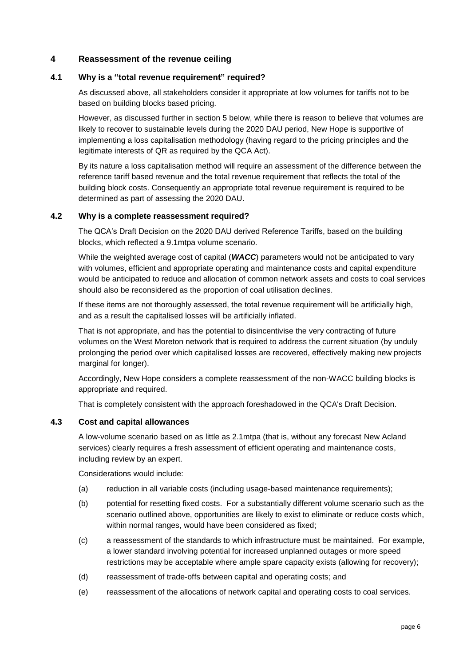### <span id="page-5-0"></span>**4 Reassessment of the revenue ceiling**

### <span id="page-5-1"></span>**4.1 Why is a "total revenue requirement" required?**

As discussed above, all stakeholders consider it appropriate at low volumes for tariffs not to be based on building blocks based pricing.

However, as discussed further in section [5](#page-8-0) below, while there is reason to believe that volumes are likely to recover to sustainable levels during the 2020 DAU period, New Hope is supportive of implementing a loss capitalisation methodology (having regard to the pricing principles and the legitimate interests of QR as required by the QCA Act).

By its nature a loss capitalisation method will require an assessment of the difference between the reference tariff based revenue and the total revenue requirement that reflects the total of the building block costs. Consequently an appropriate total revenue requirement is required to be determined as part of assessing the 2020 DAU.

### <span id="page-5-2"></span>**4.2 Why is a complete reassessment required?**

The QCA's Draft Decision on the 2020 DAU derived Reference Tariffs, based on the building blocks, which reflected a 9.1mtpa volume scenario.

While the weighted average cost of capital (*WACC*) parameters would not be anticipated to vary with volumes, efficient and appropriate operating and maintenance costs and capital expenditure would be anticipated to reduce and allocation of common network assets and costs to coal services should also be reconsidered as the proportion of coal utilisation declines.

If these items are not thoroughly assessed, the total revenue requirement will be artificially high, and as a result the capitalised losses will be artificially inflated.

That is not appropriate, and has the potential to disincentivise the very contracting of future volumes on the West Moreton network that is required to address the current situation (by unduly prolonging the period over which capitalised losses are recovered, effectively making new projects marginal for longer).

Accordingly, New Hope considers a complete reassessment of the non-WACC building blocks is appropriate and required.

That is completely consistent with the approach foreshadowed in the QCA's Draft Decision.

### <span id="page-5-3"></span>**4.3 Cost and capital allowances**

A low-volume scenario based on as little as 2.1mtpa (that is, without any forecast New Acland services) clearly requires a fresh assessment of efficient operating and maintenance costs, including review by an expert.

Considerations would include:

- (a) reduction in all variable costs (including usage-based maintenance requirements);
- (b) potential for resetting fixed costs. For a substantially different volume scenario such as the scenario outlined above, opportunities are likely to exist to eliminate or reduce costs which, within normal ranges, would have been considered as fixed;
- (c) a reassessment of the standards to which infrastructure must be maintained. For example, a lower standard involving potential for increased unplanned outages or more speed restrictions may be acceptable where ample spare capacity exists (allowing for recovery);
- (d) reassessment of trade-offs between capital and operating costs; and
- (e) reassessment of the allocations of network capital and operating costs to coal services.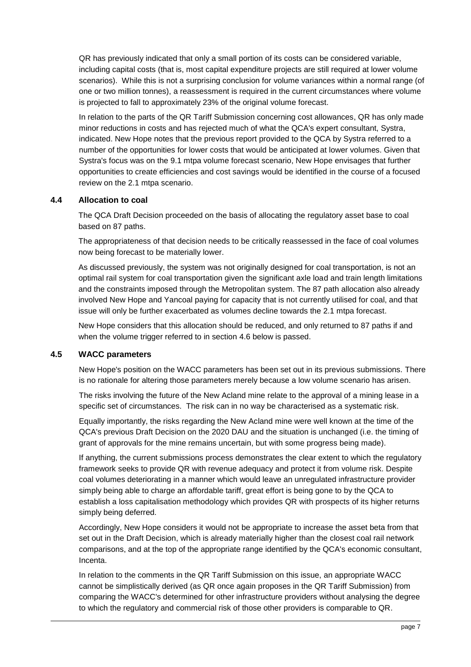QR has previously indicated that only a small portion of its costs can be considered variable, including capital costs (that is, most capital expenditure projects are still required at lower volume scenarios). While this is not a surprising conclusion for volume variances within a normal range (of one or two million tonnes), a reassessment is required in the current circumstances where volume is projected to fall to approximately 23% of the original volume forecast.

In relation to the parts of the QR Tariff Submission concerning cost allowances, QR has only made minor reductions in costs and has rejected much of what the QCA's expert consultant, Systra, indicated. New Hope notes that the previous report provided to the QCA by Systra referred to a number of the opportunities for lower costs that would be anticipated at lower volumes. Given that Systra's focus was on the 9.1 mtpa volume forecast scenario, New Hope envisages that further opportunities to create efficiencies and cost savings would be identified in the course of a focused review on the 2.1 mtpa scenario.

### <span id="page-6-0"></span>**4.4 Allocation to coal**

The QCA Draft Decision proceeded on the basis of allocating the regulatory asset base to coal based on 87 paths.

The appropriateness of that decision needs to be critically reassessed in the face of coal volumes now being forecast to be materially lower.

As discussed previously, the system was not originally designed for coal transportation, is not an optimal rail system for coal transportation given the significant axle load and train length limitations and the constraints imposed through the Metropolitan system. The 87 path allocation also already involved New Hope and Yancoal paying for capacity that is not currently utilised for coal, and that issue will only be further exacerbated as volumes decline towards the 2.1 mtpa forecast.

New Hope considers that this allocation should be reduced, and only returned to 87 paths if and when the volume trigger referred to in section [4.6](#page-7-0) below is passed.

## <span id="page-6-1"></span>**4.5 WACC parameters**

New Hope's position on the WACC parameters has been set out in its previous submissions. There is no rationale for altering those parameters merely because a low volume scenario has arisen.

The risks involving the future of the New Acland mine relate to the approval of a mining lease in a specific set of circumstances. The risk can in no way be characterised as a systematic risk.

Equally importantly, the risks regarding the New Acland mine were well known at the time of the QCA's previous Draft Decision on the 2020 DAU and the situation is unchanged (i.e. the timing of grant of approvals for the mine remains uncertain, but with some progress being made).

If anything, the current submissions process demonstrates the clear extent to which the regulatory framework seeks to provide QR with revenue adequacy and protect it from volume risk. Despite coal volumes deteriorating in a manner which would leave an unregulated infrastructure provider simply being able to charge an affordable tariff, great effort is being gone to by the QCA to establish a loss capitalisation methodology which provides QR with prospects of its higher returns simply being deferred.

Accordingly, New Hope considers it would not be appropriate to increase the asset beta from that set out in the Draft Decision, which is already materially higher than the closest coal rail network comparisons, and at the top of the appropriate range identified by the QCA's economic consultant, Incenta.

In relation to the comments in the QR Tariff Submission on this issue, an appropriate WACC cannot be simplistically derived (as QR once again proposes in the QR Tariff Submission) from comparing the WACC's determined for other infrastructure providers without analysing the degree to which the regulatory and commercial risk of those other providers is comparable to QR.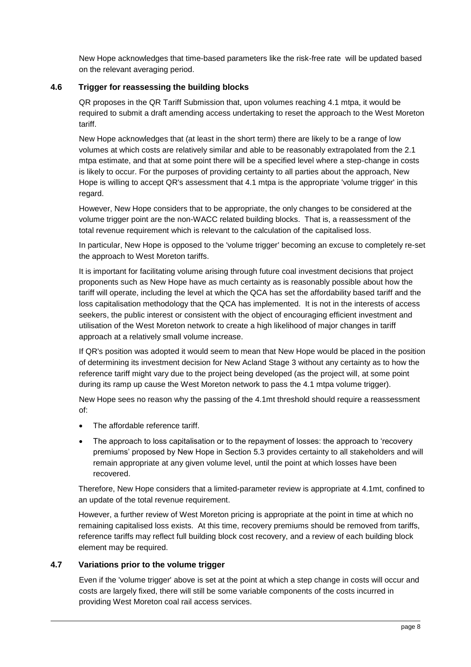New Hope acknowledges that time-based parameters like the risk-free rate will be updated based on the relevant averaging period.

## <span id="page-7-0"></span>**4.6 Trigger for reassessing the building blocks**

QR proposes in the QR Tariff Submission that, upon volumes reaching 4.1 mtpa, it would be required to submit a draft amending access undertaking to reset the approach to the West Moreton tariff.

New Hope acknowledges that (at least in the short term) there are likely to be a range of low volumes at which costs are relatively similar and able to be reasonably extrapolated from the 2.1 mtpa estimate, and that at some point there will be a specified level where a step-change in costs is likely to occur. For the purposes of providing certainty to all parties about the approach, New Hope is willing to accept QR's assessment that 4.1 mtpa is the appropriate 'volume trigger' in this regard.

However, New Hope considers that to be appropriate, the only changes to be considered at the volume trigger point are the non-WACC related building blocks. That is, a reassessment of the total revenue requirement which is relevant to the calculation of the capitalised loss.

In particular, New Hope is opposed to the 'volume trigger' becoming an excuse to completely re-set the approach to West Moreton tariffs.

It is important for facilitating volume arising through future coal investment decisions that project proponents such as New Hope have as much certainty as is reasonably possible about how the tariff will operate, including the level at which the QCA has set the affordability based tariff and the loss capitalisation methodology that the QCA has implemented. It is not in the interests of access seekers, the public interest or consistent with the object of encouraging efficient investment and utilisation of the West Moreton network to create a high likelihood of major changes in tariff approach at a relatively small volume increase.

If QR's position was adopted it would seem to mean that New Hope would be placed in the position of determining its investment decision for New Acland Stage 3 without any certainty as to how the reference tariff might vary due to the project being developed (as the project will, at some point during its ramp up cause the West Moreton network to pass the 4.1 mtpa volume trigger).

New Hope sees no reason why the passing of the 4.1mt threshold should require a reassessment of:

- The affordable reference tariff
- The approach to loss capitalisation or to the repayment of losses: the approach to 'recovery premiums' proposed by New Hope in Section 5.3 provides certainty to all stakeholders and will remain appropriate at any given volume level, until the point at which losses have been recovered.

Therefore, New Hope considers that a limited-parameter review is appropriate at 4.1mt, confined to an update of the total revenue requirement.

However, a further review of West Moreton pricing is appropriate at the point in time at which no remaining capitalised loss exists. At this time, recovery premiums should be removed from tariffs, reference tariffs may reflect full building block cost recovery, and a review of each building block element may be required.

#### <span id="page-7-1"></span>**4.7 Variations prior to the volume trigger**

Even if the 'volume trigger' above is set at the point at which a step change in costs will occur and costs are largely fixed, there will still be some variable components of the costs incurred in providing West Moreton coal rail access services.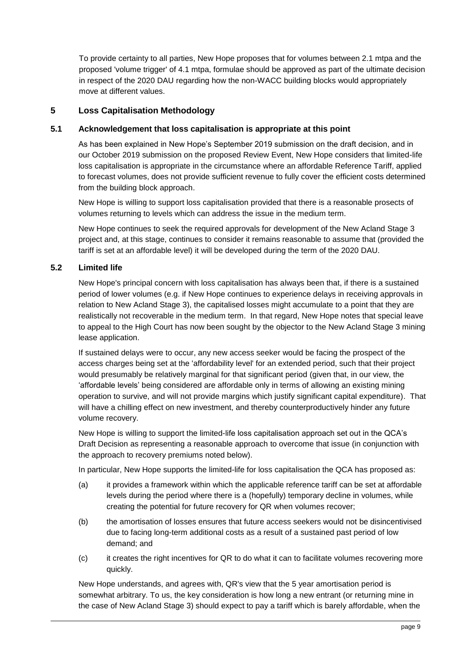To provide certainty to all parties, New Hope proposes that for volumes between 2.1 mtpa and the proposed 'volume trigger' of 4.1 mtpa, formulae should be approved as part of the ultimate decision in respect of the 2020 DAU regarding how the non-WACC building blocks would appropriately move at different values.

## <span id="page-8-0"></span>**5 Loss Capitalisation Methodology**

## <span id="page-8-1"></span>**5.1 Acknowledgement that loss capitalisation is appropriate at this point**

As has been explained in New Hope's September 2019 submission on the draft decision, and in our October 2019 submission on the proposed Review Event, New Hope considers that limited-life loss capitalisation is appropriate in the circumstance where an affordable Reference Tariff, applied to forecast volumes, does not provide sufficient revenue to fully cover the efficient costs determined from the building block approach.

New Hope is willing to support loss capitalisation provided that there is a reasonable prosects of volumes returning to levels which can address the issue in the medium term.

New Hope continues to seek the required approvals for development of the New Acland Stage 3 project and, at this stage, continues to consider it remains reasonable to assume that (provided the tariff is set at an affordable level) it will be developed during the term of the 2020 DAU.

## <span id="page-8-2"></span>**5.2 Limited life**

New Hope's principal concern with loss capitalisation has always been that, if there is a sustained period of lower volumes (e.g. if New Hope continues to experience delays in receiving approvals in relation to New Acland Stage 3), the capitalised losses might accumulate to a point that they are realistically not recoverable in the medium term. In that regard, New Hope notes that special leave to appeal to the High Court has now been sought by the objector to the New Acland Stage 3 mining lease application.

If sustained delays were to occur, any new access seeker would be facing the prospect of the access charges being set at the 'affordability level' for an extended period, such that their project would presumably be relatively marginal for that significant period (given that, in our view, the 'affordable levels' being considered are affordable only in terms of allowing an existing mining operation to survive, and will not provide margins which justify significant capital expenditure). That will have a chilling effect on new investment, and thereby counterproductively hinder any future volume recovery.

New Hope is willing to support the limited-life loss capitalisation approach set out in the QCA's Draft Decision as representing a reasonable approach to overcome that issue (in conjunction with the approach to recovery premiums noted below).

In particular, New Hope supports the limited-life for loss capitalisation the QCA has proposed as:

- (a) it provides a framework within which the applicable reference tariff can be set at affordable levels during the period where there is a (hopefully) temporary decline in volumes, while creating the potential for future recovery for QR when volumes recover;
- (b) the amortisation of losses ensures that future access seekers would not be disincentivised due to facing long-term additional costs as a result of a sustained past period of low demand; and
- (c) it creates the right incentives for QR to do what it can to facilitate volumes recovering more quickly.

New Hope understands, and agrees with, QR's view that the 5 year amortisation period is somewhat arbitrary. To us, the key consideration is how long a new entrant (or returning mine in the case of New Acland Stage 3) should expect to pay a tariff which is barely affordable, when the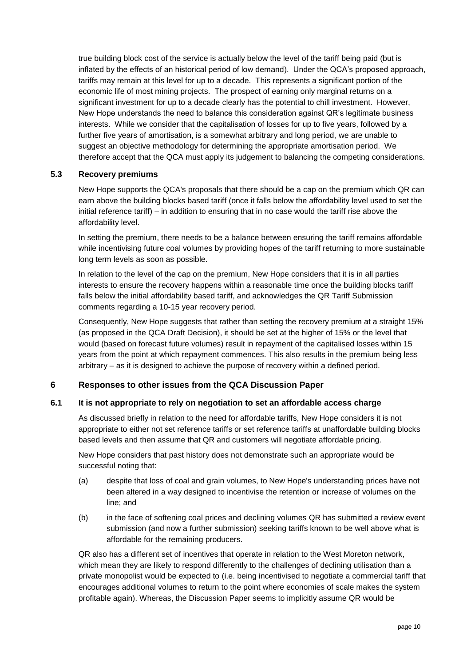true building block cost of the service is actually below the level of the tariff being paid (but is inflated by the effects of an historical period of low demand). Under the QCA's proposed approach, tariffs may remain at this level for up to a decade. This represents a significant portion of the economic life of most mining projects. The prospect of earning only marginal returns on a significant investment for up to a decade clearly has the potential to chill investment. However, New Hope understands the need to balance this consideration against QR's legitimate business interests. While we consider that the capitalisation of losses for up to five years, followed by a further five years of amortisation, is a somewhat arbitrary and long period, we are unable to suggest an objective methodology for determining the appropriate amortisation period. We therefore accept that the QCA must apply its judgement to balancing the competing considerations.

## <span id="page-9-0"></span>**5.3 Recovery premiums**

New Hope supports the QCA's proposals that there should be a cap on the premium which QR can earn above the building blocks based tariff (once it falls below the affordability level used to set the initial reference tariff) – in addition to ensuring that in no case would the tariff rise above the affordability level.

In setting the premium, there needs to be a balance between ensuring the tariff remains affordable while incentivising future coal volumes by providing hopes of the tariff returning to more sustainable long term levels as soon as possible.

In relation to the level of the cap on the premium, New Hope considers that it is in all parties interests to ensure the recovery happens within a reasonable time once the building blocks tariff falls below the initial affordability based tariff, and acknowledges the QR Tariff Submission comments regarding a 10-15 year recovery period.

Consequently, New Hope suggests that rather than setting the recovery premium at a straight 15% (as proposed in the QCA Draft Decision), it should be set at the higher of 15% or the level that would (based on forecast future volumes) result in repayment of the capitalised losses within 15 years from the point at which repayment commences. This also results in the premium being less arbitrary – as it is designed to achieve the purpose of recovery within a defined period.

## <span id="page-9-1"></span>**6 Responses to other issues from the QCA Discussion Paper**

#### <span id="page-9-2"></span>**6.1 It is not appropriate to rely on negotiation to set an affordable access charge**

As discussed briefly in relation to the need for affordable tariffs, New Hope considers it is not appropriate to either not set reference tariffs or set reference tariffs at unaffordable building blocks based levels and then assume that QR and customers will negotiate affordable pricing.

New Hope considers that past history does not demonstrate such an appropriate would be successful noting that:

- (a) despite that loss of coal and grain volumes, to New Hope's understanding prices have not been altered in a way designed to incentivise the retention or increase of volumes on the line; and
- (b) in the face of softening coal prices and declining volumes QR has submitted a review event submission (and now a further submission) seeking tariffs known to be well above what is affordable for the remaining producers.

QR also has a different set of incentives that operate in relation to the West Moreton network, which mean they are likely to respond differently to the challenges of declining utilisation than a private monopolist would be expected to (i.e. being incentivised to negotiate a commercial tariff that encourages additional volumes to return to the point where economies of scale makes the system profitable again). Whereas, the Discussion Paper seems to implicitly assume QR would be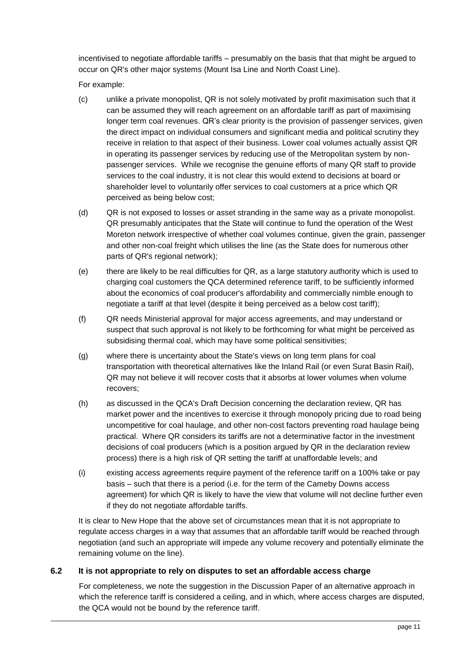incentivised to negotiate affordable tariffs – presumably on the basis that that might be argued to occur on QR's other major systems (Mount Isa Line and North Coast Line).

For example:

- (c) unlike a private monopolist, QR is not solely motivated by profit maximisation such that it can be assumed they will reach agreement on an affordable tariff as part of maximising longer term coal revenues. QR's clear priority is the provision of passenger services, given the direct impact on individual consumers and significant media and political scrutiny they receive in relation to that aspect of their business. Lower coal volumes actually assist QR in operating its passenger services by reducing use of the Metropolitan system by nonpassenger services. While we recognise the genuine efforts of many QR staff to provide services to the coal industry, it is not clear this would extend to decisions at board or shareholder level to voluntarily offer services to coal customers at a price which QR perceived as being below cost;
- (d) QR is not exposed to losses or asset stranding in the same way as a private monopolist. QR presumably anticipates that the State will continue to fund the operation of the West Moreton network irrespective of whether coal volumes continue, given the grain, passenger and other non-coal freight which utilises the line (as the State does for numerous other parts of QR's regional network);
- (e) there are likely to be real difficulties for QR, as a large statutory authority which is used to charging coal customers the QCA determined reference tariff, to be sufficiently informed about the economics of coal producer's affordability and commercially nimble enough to negotiate a tariff at that level (despite it being perceived as a below cost tariff);
- (f) QR needs Ministerial approval for major access agreements, and may understand or suspect that such approval is not likely to be forthcoming for what might be perceived as subsidising thermal coal, which may have some political sensitivities;
- (g) where there is uncertainty about the State's views on long term plans for coal transportation with theoretical alternatives like the Inland Rail (or even Surat Basin Rail), QR may not believe it will recover costs that it absorbs at lower volumes when volume recovers;
- (h) as discussed in the QCA's Draft Decision concerning the declaration review, QR has market power and the incentives to exercise it through monopoly pricing due to road being uncompetitive for coal haulage, and other non-cost factors preventing road haulage being practical. Where QR considers its tariffs are not a determinative factor in the investment decisions of coal producers (which is a position argued by QR in the declaration review process) there is a high risk of QR setting the tariff at unaffordable levels; and
- (i) existing access agreements require payment of the reference tariff on a 100% take or pay basis – such that there is a period (i.e. for the term of the Cameby Downs access agreement) for which QR is likely to have the view that volume will not decline further even if they do not negotiate affordable tariffs.

It is clear to New Hope that the above set of circumstances mean that it is not appropriate to regulate access charges in a way that assumes that an affordable tariff would be reached through negotiation (and such an appropriate will impede any volume recovery and potentially eliminate the remaining volume on the line).

## <span id="page-10-0"></span>**6.2 It is not appropriate to rely on disputes to set an affordable access charge**

For completeness, we note the suggestion in the Discussion Paper of an alternative approach in which the reference tariff is considered a ceiling, and in which, where access charges are disputed, the QCA would not be bound by the reference tariff.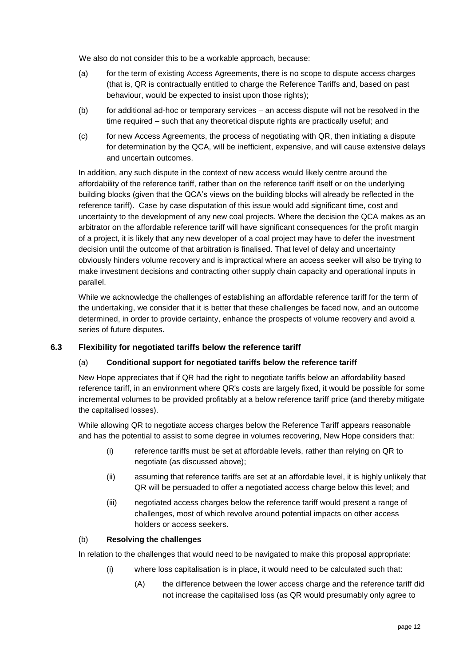We also do not consider this to be a workable approach, because:

- (a) for the term of existing Access Agreements, there is no scope to dispute access charges (that is, QR is contractually entitled to charge the Reference Tariffs and, based on past behaviour, would be expected to insist upon those rights);
- (b) for additional ad-hoc or temporary services an access dispute will not be resolved in the time required – such that any theoretical dispute rights are practically useful; and
- (c) for new Access Agreements, the process of negotiating with QR, then initiating a dispute for determination by the QCA, will be inefficient, expensive, and will cause extensive delays and uncertain outcomes.

In addition, any such dispute in the context of new access would likely centre around the affordability of the reference tariff, rather than on the reference tariff itself or on the underlying building blocks (given that the QCA's views on the building blocks will already be reflected in the reference tariff). Case by case disputation of this issue would add significant time, cost and uncertainty to the development of any new coal projects. Where the decision the QCA makes as an arbitrator on the affordable reference tariff will have significant consequences for the profit margin of a project, it is likely that any new developer of a coal project may have to defer the investment decision until the outcome of that arbitration is finalised. That level of delay and uncertainty obviously hinders volume recovery and is impractical where an access seeker will also be trying to make investment decisions and contracting other supply chain capacity and operational inputs in parallel.

While we acknowledge the challenges of establishing an affordable reference tariff for the term of the undertaking, we consider that it is better that these challenges be faced now, and an outcome determined, in order to provide certainty, enhance the prospects of volume recovery and avoid a series of future disputes.

## <span id="page-11-0"></span>**6.3 Flexibility for negotiated tariffs below the reference tariff**

## (a) **Conditional support for negotiated tariffs below the reference tariff**

New Hope appreciates that if QR had the right to negotiate tariffs below an affordability based reference tariff, in an environment where QR's costs are largely fixed, it would be possible for some incremental volumes to be provided profitably at a below reference tariff price (and thereby mitigate the capitalised losses).

While allowing QR to negotiate access charges below the Reference Tariff appears reasonable and has the potential to assist to some degree in volumes recovering, New Hope considers that:

- (i) reference tariffs must be set at affordable levels, rather than relying on QR to negotiate (as discussed above);
- (ii) assuming that reference tariffs are set at an affordable level, it is highly unlikely that QR will be persuaded to offer a negotiated access charge below this level; and
- (iii) negotiated access charges below the reference tariff would present a range of challenges, most of which revolve around potential impacts on other access holders or access seekers.

#### (b) **Resolving the challenges**

In relation to the challenges that would need to be navigated to make this proposal appropriate:

- (i) where loss capitalisation is in place, it would need to be calculated such that:
	- (A) the difference between the lower access charge and the reference tariff did not increase the capitalised loss (as QR would presumably only agree to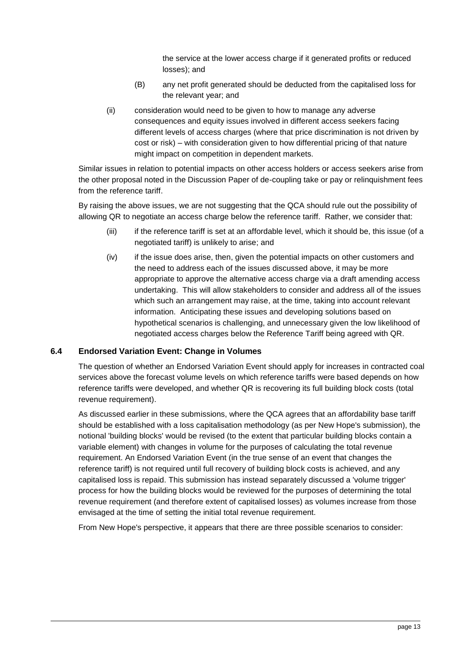the service at the lower access charge if it generated profits or reduced losses); and

- (B) any net profit generated should be deducted from the capitalised loss for the relevant year; and
- (ii) consideration would need to be given to how to manage any adverse consequences and equity issues involved in different access seekers facing different levels of access charges (where that price discrimination is not driven by cost or risk) – with consideration given to how differential pricing of that nature might impact on competition in dependent markets.

Similar issues in relation to potential impacts on other access holders or access seekers arise from the other proposal noted in the Discussion Paper of de-coupling take or pay or relinquishment fees from the reference tariff.

By raising the above issues, we are not suggesting that the QCA should rule out the possibility of allowing QR to negotiate an access charge below the reference tariff. Rather, we consider that:

- (iii) if the reference tariff is set at an affordable level, which it should be, this issue (of a negotiated tariff) is unlikely to arise; and
- (iv) if the issue does arise, then, given the potential impacts on other customers and the need to address each of the issues discussed above, it may be more appropriate to approve the alternative access charge via a draft amending access undertaking. This will allow stakeholders to consider and address all of the issues which such an arrangement may raise, at the time, taking into account relevant information. Anticipating these issues and developing solutions based on hypothetical scenarios is challenging, and unnecessary given the low likelihood of negotiated access charges below the Reference Tariff being agreed with QR.

#### <span id="page-12-0"></span>**6.4 Endorsed Variation Event: Change in Volumes**

The question of whether an Endorsed Variation Event should apply for increases in contracted coal services above the forecast volume levels on which reference tariffs were based depends on how reference tariffs were developed, and whether QR is recovering its full building block costs (total revenue requirement).

As discussed earlier in these submissions, where the QCA agrees that an affordability base tariff should be established with a loss capitalisation methodology (as per New Hope's submission), the notional 'building blocks' would be revised (to the extent that particular building blocks contain a variable element) with changes in volume for the purposes of calculating the total revenue requirement. An Endorsed Variation Event (in the true sense of an event that changes the reference tariff) is not required until full recovery of building block costs is achieved, and any capitalised loss is repaid. This submission has instead separately discussed a 'volume trigger' process for how the building blocks would be reviewed for the purposes of determining the total revenue requirement (and therefore extent of capitalised losses) as volumes increase from those envisaged at the time of setting the initial total revenue requirement.

From New Hope's perspective, it appears that there are three possible scenarios to consider: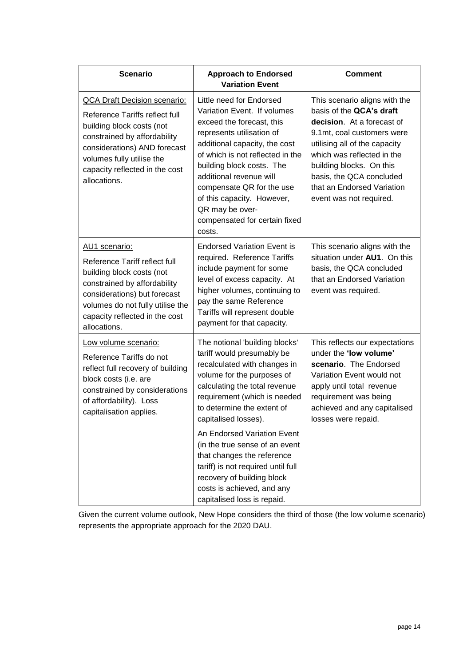| <b>Scenario</b>                                                                                                                                                                                                                                   | <b>Approach to Endorsed</b><br><b>Variation Event</b>                                                                                                                                                                                                                                                                                                                   | <b>Comment</b>                                                                                                                                                                                                                                                                                        |
|---------------------------------------------------------------------------------------------------------------------------------------------------------------------------------------------------------------------------------------------------|-------------------------------------------------------------------------------------------------------------------------------------------------------------------------------------------------------------------------------------------------------------------------------------------------------------------------------------------------------------------------|-------------------------------------------------------------------------------------------------------------------------------------------------------------------------------------------------------------------------------------------------------------------------------------------------------|
| <b>QCA Draft Decision scenario:</b><br>Reference Tariffs reflect full<br>building block costs (not<br>constrained by affordability<br>considerations) AND forecast<br>volumes fully utilise the<br>capacity reflected in the cost<br>allocations. | Little need for Endorsed<br>Variation Event. If volumes<br>exceed the forecast, this<br>represents utilisation of<br>additional capacity, the cost<br>of which is not reflected in the<br>building block costs. The<br>additional revenue will<br>compensate QR for the use<br>of this capacity. However,<br>QR may be over-<br>compensated for certain fixed<br>costs. | This scenario aligns with the<br>basis of the QCA's draft<br>decision. At a forecast of<br>9.1mt, coal customers were<br>utilising all of the capacity<br>which was reflected in the<br>building blocks. On this<br>basis, the QCA concluded<br>that an Endorsed Variation<br>event was not required. |
| AU1 scenario:<br>Reference Tariff reflect full<br>building block costs (not<br>constrained by affordability<br>considerations) but forecast<br>volumes do not fully utilise the<br>capacity reflected in the cost<br>allocations.                 | <b>Endorsed Variation Event is</b><br>required. Reference Tariffs<br>include payment for some<br>level of excess capacity. At<br>higher volumes, continuing to<br>pay the same Reference<br>Tariffs will represent double<br>payment for that capacity.                                                                                                                 | This scenario aligns with the<br>situation under AU1. On this<br>basis, the QCA concluded<br>that an Endorsed Variation<br>event was required.                                                                                                                                                        |
| Low volume scenario:<br>Reference Tariffs do not<br>reflect full recovery of building<br>block costs (i.e. are<br>constrained by considerations<br>of affordability). Loss<br>capitalisation applies.                                             | The notional 'building blocks'<br>tariff would presumably be<br>recalculated with changes in<br>volume for the purposes of<br>calculating the total revenue<br>requirement (which is needed<br>to determine the extent of<br>capitalised losses).                                                                                                                       | This reflects our expectations<br>under the 'low volume'<br>scenario. The Endorsed<br>Variation Event would not<br>apply until total revenue<br>requirement was being<br>achieved and any capitalised<br>losses were repaid.                                                                          |
|                                                                                                                                                                                                                                                   | An Endorsed Variation Event<br>(in the true sense of an event<br>that changes the reference<br>tariff) is not required until full<br>recovery of building block<br>costs is achieved, and any<br>capitalised loss is repaid.                                                                                                                                            |                                                                                                                                                                                                                                                                                                       |

Given the current volume outlook, New Hope considers the third of those (the low volume scenario) represents the appropriate approach for the 2020 DAU.